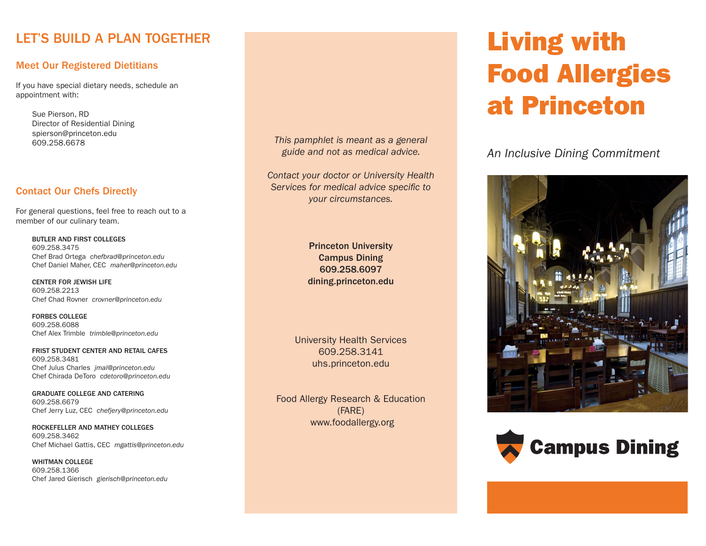### LET'S BUILD A PLAN TOGETHER

#### Meet Our Registered Dietitians

If you have special dietary needs, schedule an appointment with:

Sue Pierson, RD Director of Residential Dining spierson@princeton.edu 609.258.6678

#### Contact Our Chefs Directly

For general questions, feel free to reach out to a member of our culinary team.

BUTLER AND FIRST COLLEGES 609.258.3475 Chef Brad Ortega *chefbrad@princeton.edu*  Chef Daniel Maher, CEC *maher@princeton.edu*

CENTER FOR JEWISH LIFE 609.258.2213 Chef Chad Rovner *crovner@princeton.edu*

FORBES COLLEGE 609.258.6088 Chef Alex Trimble *trimble@princeton.edu*

FRIST STUDENT CENTER AND RETAIL CAFES 609.258.3481 Chef Julus Charles *jmal@princeton.edu* Chef Chirada DeToro *cdetoro@princeton.edu*

GRADUATE COLLEGE AND CATERING 609.258.6679 Chef Jerry Luz, CEC *chefjery@princeton.edu*

ROCKEFELLER AND MATHEY COLLEGES 609.258.3462 Chef Michael Gattis, CEC *mgattis@princeton.edu*

WHITMAN COLLEGE 609.258.1366 Chef Jared Gierisch *gierisch@princeton.edu* *This pamphlet is meant as a general guide and not as medical advice.*

*Contact your doctor or University Health Services for medical advice specific to your circumstances.*

> Princeton University Campus Dining 609.258.6097 dining.princeton.edu

University Health Services 609.258.3141 uhs.princeton.edu

Food Allergy Research & Education (FARE) www.foodallergy.org

# Living with Food Allergies at Princeton

*An Inclusive Dining Commitment*